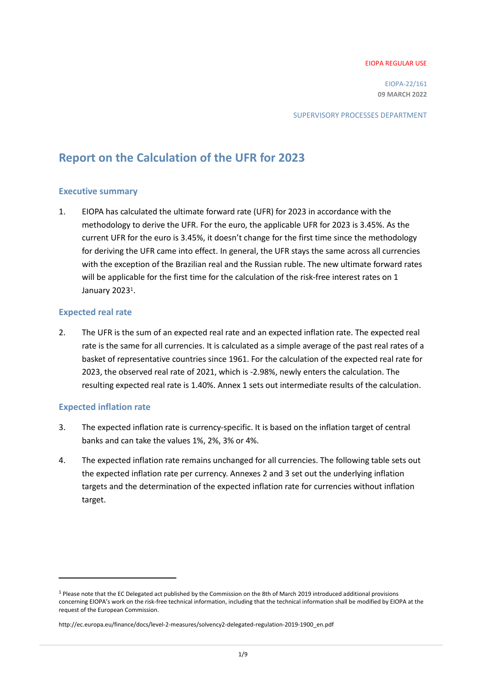#### EIOPA REGULAR USE

EIOPA-22/161 **09 MARCH 2022**

SUPERVISORY PROCESSES DEPARTMENT

# **Report on the Calculation of the UFR for 2023**

#### **Executive summary**

1. EIOPA has calculated the ultimate forward rate (UFR) for 2023 in accordance with the methodology to derive the UFR. For the euro, the applicable UFR for 2023 is 3.45%. As the current UFR for the euro is 3.45%, it doesn't change for the first time since the methodology for deriving the UFR came into effect. In general, the UFR stays the same across all currencies with the exception of the Brazilian real and the Russian ruble. The new ultimate forward rates will be applicable for the first time for the calculation of the risk-free interest rates on 1 January 2023<sup>1</sup>.

#### **Expected real rate**

2. The UFR is the sum of an expected real rate and an expected inflation rate. The expected real rate is the same for all currencies. It is calculated as a simple average of the past real rates of a basket of representative countries since 1961. For the calculation of the expected real rate for 2023, the observed real rate of 2021, which is -2.98%, newly enters the calculation. The resulting expected real rate is 1.40%. Annex 1 sets out intermediate results of the calculation.

#### **Expected inflation rate**

 $\overline{a}$ 

- 3. The expected inflation rate is currency-specific. It is based on the inflation target of central banks and can take the values 1%, 2%, 3% or 4%.
- 4. The expected inflation rate remains unchanged for all currencies. The following table sets out the expected inflation rate per currency. Annexes 2 and 3 set out the underlying inflation targets and the determination of the expected inflation rate for currencies without inflation target.

<sup>1</sup> Please note that the EC Delegated act published by the Commission on the 8th of March 2019 introduced additional provisions concerning EIOPA's work on the risk-free technical information, including that the technical information shall be modified by EIOPA at the request of the European Commission.

[http://ec.europa.eu/finance/docs/level-2-measures/solvency2-delegated-regulation-2019-1900\\_en.pdf](http://ec.europa.eu/finance/docs/level-2-measures/solvency2-delegated-regulation-2019-1900_en.pdf)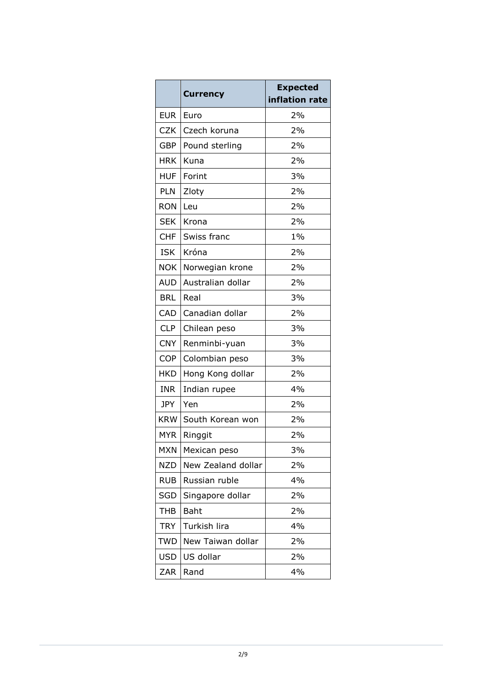|            | <b>Currency</b>    | <b>Expected</b> |  |
|------------|--------------------|-----------------|--|
|            |                    | inflation rate  |  |
| <b>EUR</b> | Euro               | 2%              |  |
| <b>CZK</b> | Czech koruna       | 2%              |  |
| <b>GBP</b> | Pound sterling     | 2%              |  |
| <b>HRK</b> | Kuna               | 2%              |  |
| <b>HUF</b> | Forint             | 3%              |  |
| <b>PLN</b> | Zloty              | 2%              |  |
| <b>RON</b> | Leu                | 2%              |  |
| <b>SEK</b> | Krona              | 2%              |  |
| CHF        | Swiss franc        | $1\%$           |  |
| <b>ISK</b> | Króna              | 2%              |  |
| <b>NOK</b> | Norwegian krone    | 2%              |  |
| <b>AUD</b> | Australian dollar  | 2%              |  |
| <b>BRL</b> | Real               | 3%              |  |
| <b>CAD</b> | Canadian dollar    | 2%              |  |
| <b>CLP</b> | Chilean peso       | 3%              |  |
| <b>CNY</b> | Renminbi-yuan      | 3%              |  |
| COP        | Colombian peso     | 3%              |  |
| <b>HKD</b> | Hong Kong dollar   | 2%              |  |
| <b>INR</b> | Indian rupee       | 4%              |  |
| <b>JPY</b> | Yen                | 2%              |  |
| <b>KRW</b> | South Korean won   | 2%              |  |
| <b>MYR</b> | Ringgit            | 2%              |  |
| <b>MXN</b> | Mexican peso       | 3%              |  |
| <b>NZD</b> | New Zealand dollar | 2%              |  |
| <b>RUB</b> | Russian ruble      | 4%              |  |
| <b>SGD</b> | Singapore dollar   | 2%              |  |
| <b>THB</b> | Baht               | 2%              |  |
| <b>TRY</b> | Turkish lira       | 4%              |  |
| <b>TWD</b> | New Taiwan dollar  | 2%              |  |
| <b>USD</b> | US dollar          | 2%              |  |
| ZAR        | Rand               | 4%              |  |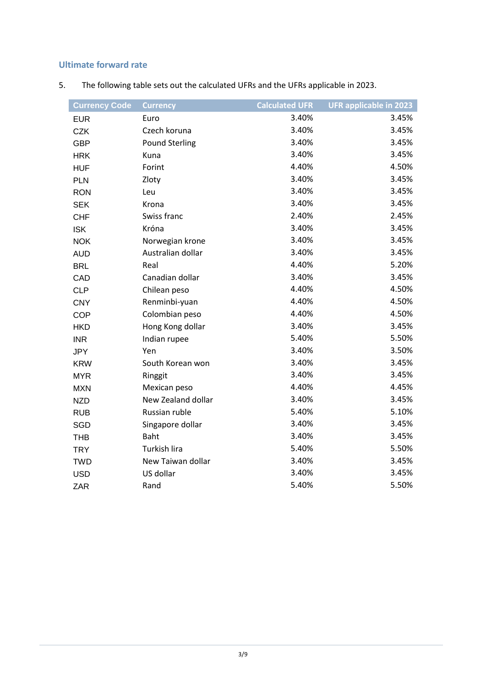## **Ultimate forward rate**

| <b>Currency Code</b> | <b>Currency</b>       | <b>Calculated UFR</b> | <b>UFR applicable in 2023</b> |
|----------------------|-----------------------|-----------------------|-------------------------------|
| <b>EUR</b>           | Euro                  | 3.40%                 | 3.45%                         |
| <b>CZK</b>           | Czech koruna          | 3.40%                 | 3.45%                         |
| <b>GBP</b>           | <b>Pound Sterling</b> | 3.40%                 | 3.45%                         |
| <b>HRK</b>           | Kuna                  | 3.40%                 | 3.45%                         |
| <b>HUF</b>           | Forint                | 4.40%                 | 4.50%                         |
| <b>PLN</b>           | Zloty                 | 3.40%                 | 3.45%                         |
| <b>RON</b>           | Leu                   | 3.40%                 | 3.45%                         |
| <b>SEK</b>           | Krona                 | 3.40%                 | 3.45%                         |
| <b>CHF</b>           | Swiss franc           | 2.40%                 | 2.45%                         |
| <b>ISK</b>           | Króna                 | 3.40%                 | 3.45%                         |
| <b>NOK</b>           | Norwegian krone       | 3.40%                 | 3.45%                         |
| <b>AUD</b>           | Australian dollar     | 3.40%                 | 3.45%                         |
| <b>BRL</b>           | Real                  | 4.40%                 | 5.20%                         |
| CAD                  | Canadian dollar       | 3.40%                 | 3.45%                         |
| <b>CLP</b>           | Chilean peso          | 4.40%                 | 4.50%                         |
| <b>CNY</b>           | Renminbi-yuan         | 4.40%                 | 4.50%                         |
| <b>COP</b>           | Colombian peso        | 4.40%                 | 4.50%                         |
| <b>HKD</b>           | Hong Kong dollar      | 3.40%                 | 3.45%                         |
| <b>INR</b>           | Indian rupee          | 5.40%                 | 5.50%                         |
| JPY                  | Yen                   | 3.40%                 | 3.50%                         |
| <b>KRW</b>           | South Korean won      | 3.40%                 | 3.45%                         |
| <b>MYR</b>           | Ringgit               | 3.40%                 | 3.45%                         |
| <b>MXN</b>           | Mexican peso          | 4.40%                 | 4.45%                         |
| <b>NZD</b>           | New Zealand dollar    | 3.40%                 | 3.45%                         |
| <b>RUB</b>           | Russian ruble         | 5.40%                 | 5.10%                         |
| SGD                  | Singapore dollar      | 3.40%                 | 3.45%                         |
| <b>THB</b>           | <b>Baht</b>           | 3.40%                 | 3.45%                         |
| <b>TRY</b>           | Turkish lira          | 5.40%                 | 5.50%                         |
| <b>TWD</b>           | New Taiwan dollar     | 3.40%                 | 3.45%                         |
| <b>USD</b>           | US dollar             | 3.40%                 | 3.45%                         |
| ZAR                  | Rand                  | 5.40%                 | 5.50%                         |

5. The following table sets out the calculated UFRs and the UFRs applicable in 2023.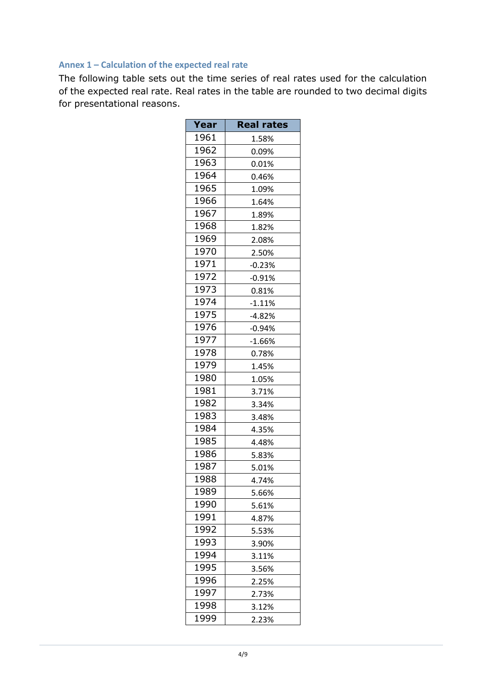### **Annex 1 – Calculation of the expected real rate**

The following table sets out the time series of real rates used for the calculation of the expected real rate. Real rates in the table are rounded to two decimal digits for presentational reasons.

| Year | <b>Real rates</b> |  |
|------|-------------------|--|
| 1961 | 1.58%             |  |
| 1962 | 0.09%             |  |
| 1963 | 0.01%             |  |
| 1964 | 0.46%             |  |
| 1965 | 1.09%             |  |
| 1966 | 1.64%             |  |
| 1967 | 1.89%             |  |
| 1968 | 1.82%             |  |
| 1969 | 2.08%             |  |
| 1970 | 2.50%             |  |
| 1971 | $-0.23%$          |  |
| 1972 | $-0.91%$          |  |
| 1973 | 0.81%             |  |
| 1974 | $-1.11%$          |  |
| 1975 | $-4.82%$          |  |
| 1976 | $-0.94%$          |  |
| 1977 | $-1.66%$          |  |
| 1978 | 0.78%             |  |
| 1979 | 1.45%             |  |
| 1980 | 1.05%             |  |
| 1981 | 3.71%             |  |
| 1982 | 3.34%             |  |
| 1983 | 3.48%             |  |
| 1984 | 4.35%             |  |
| 1985 | 4.48%             |  |
| 1986 | 5.83%             |  |
| 1987 | 5.01%             |  |
| 1988 | 4.74%             |  |
| 1989 | 5.66%             |  |
| 1990 | 5.61%             |  |
| 1991 | 4.87%             |  |
| 1992 | 5.53%             |  |
| 1993 | 3.90%             |  |
| 1994 | 3.11%             |  |
| 1995 | 3.56%             |  |
| 1996 | 2.25%             |  |
| 1997 | 2.73%             |  |
| 1998 | 3.12%             |  |
| 1999 | 2.23%             |  |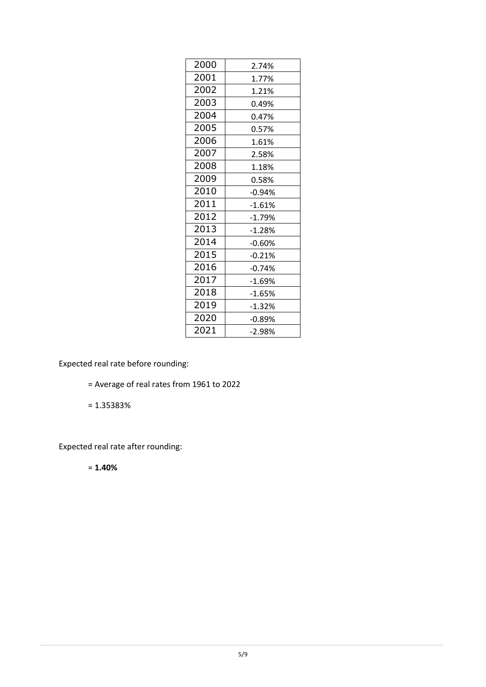| 2000 | 2.74%    |
|------|----------|
| 2001 | 1.77%    |
| 2002 | 1.21%    |
| 2003 | 0.49%    |
| 2004 | 0.47%    |
| 2005 | 0.57%    |
| 2006 | 1.61%    |
| 2007 | 2.58%    |
| 2008 | 1.18%    |
| 2009 | 0.58%    |
| 2010 | $-0.94%$ |
| 2011 | $-1.61%$ |
| 2012 | $-1.79%$ |
| 2013 | $-1.28%$ |
| 2014 | $-0.60%$ |
| 2015 | $-0.21%$ |
| 2016 | $-0.74%$ |
| 2017 | $-1.69%$ |
| 2018 | $-1.65%$ |
| 2019 | $-1.32%$ |
| 2020 | $-0.89%$ |
| 2021 | -2.98%   |

Expected real rate before rounding:

- = Average of real rates from 1961 to 2022
- = 1.35383%

Expected real rate after rounding:

= **1.40%**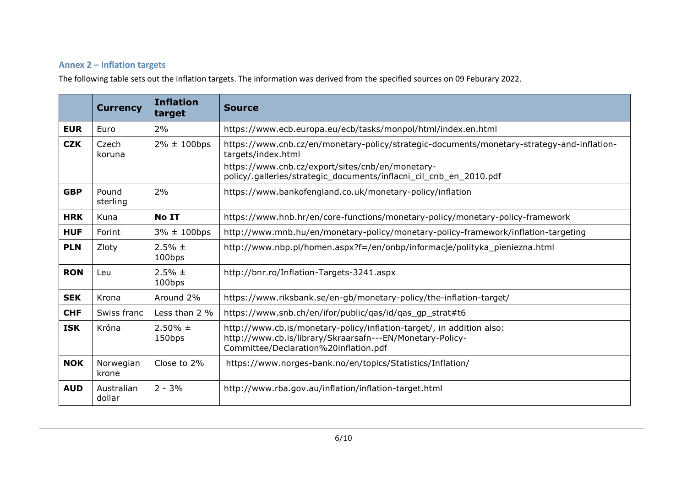### **Annex 2 – Inflation targets**

The following table sets out the inflation targets. The information was derived from the specified sources on 09 Feburary 2022.

|            | <b>Currency</b>      | <b>Inflation</b><br>target | <b>Source</b>                                                                                                                                                               |  |
|------------|----------------------|----------------------------|-----------------------------------------------------------------------------------------------------------------------------------------------------------------------------|--|
| <b>EUR</b> | Euro                 | 2%                         | https://www.ecb.europa.eu/ecb/tasks/monpol/html/index.en.html                                                                                                               |  |
| <b>CZK</b> | Czech<br>koruna      | $2\% \pm 100$ bps          | https://www.cnb.cz/en/monetary-policy/strategic-documents/monetary-strategy-and-inflation-<br>targets/index.html                                                            |  |
|            |                      |                            | https://www.cnb.cz/export/sites/cnb/en/monetary-<br>policy/.galleries/strategic_documents/inflacni_cil_cnb_en_2010.pdf                                                      |  |
| <b>GBP</b> | Pound<br>sterling    | 2%                         | https://www.bankofengland.co.uk/monetary-policy/inflation                                                                                                                   |  |
| <b>HRK</b> | Kuna                 | No IT                      | https://www.hnb.hr/en/core-functions/monetary-policy/monetary-policy-framework                                                                                              |  |
| <b>HUF</b> | Forint               | $3\% \pm 100$ bps          | http://www.mnb.hu/en/monetary-policy/monetary-policy-framework/inflation-targeting                                                                                          |  |
| <b>PLN</b> | Zloty                | $2.5% \pm$<br>100bps       | http://www.nbp.pl/homen.aspx?f=/en/onbp/informacje/polityka pieniezna.html                                                                                                  |  |
| <b>RON</b> | Leu                  | $2.5% \pm$<br>100bps       | http://bnr.ro/Inflation-Targets-3241.aspx                                                                                                                                   |  |
| <b>SEK</b> | Krona                | Around 2%                  | https://www.riksbank.se/en-gb/monetary-policy/the-inflation-target/                                                                                                         |  |
| <b>CHF</b> | Swiss franc          | Less than 2 %              | https://www.snb.ch/en/ifor/public/qas/id/qas_gp_strat#t6                                                                                                                    |  |
| <b>ISK</b> | Króna                | $2.50\% \pm$<br>150bps     | http://www.cb.is/monetary-policy/inflation-target/, in addition also:<br>http://www.cb.is/library/Skraarsafn---EN/Monetary-Policy-<br>Committee/Declaration%20inflation.pdf |  |
| <b>NOK</b> | Norwegian<br>krone   | Close to 2%                | https://www.norges-bank.no/en/topics/Statistics/Inflation/                                                                                                                  |  |
| <b>AUD</b> | Australian<br>dollar | $2 - 3%$                   | http://www.rba.gov.au/inflation/inflation-target.html                                                                                                                       |  |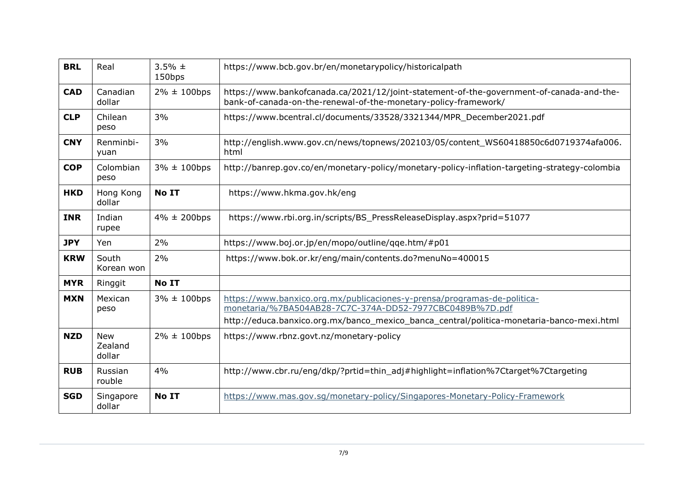| <b>BRL</b> | Real                            | $3.5% \pm$<br>150bps | https://www.bcb.gov.br/en/monetarypolicy/historicalpath                                                                                                                                                                           |  |
|------------|---------------------------------|----------------------|-----------------------------------------------------------------------------------------------------------------------------------------------------------------------------------------------------------------------------------|--|
| <b>CAD</b> | Canadian<br>dollar              | $2\% \pm 100$ bps    | https://www.bankofcanada.ca/2021/12/joint-statement-of-the-government-of-canada-and-the-<br>bank-of-canada-on-the-renewal-of-the-monetary-policy-framework/                                                                       |  |
| <b>CLP</b> | Chilean<br>peso                 | 3%                   | https://www.bcentral.cl/documents/33528/3321344/MPR December2021.pdf                                                                                                                                                              |  |
| <b>CNY</b> | Renminbi-<br>yuan               | 3%                   | http://english.www.gov.cn/news/topnews/202103/05/content_WS60418850c6d0719374afa006.<br>html                                                                                                                                      |  |
| <b>COP</b> | Colombian<br>peso               | $3\% \pm 100$ bps    | http://banrep.gov.co/en/monetary-policy/monetary-policy-inflation-targeting-strategy-colombia                                                                                                                                     |  |
| <b>HKD</b> | Hong Kong<br>dollar             | No IT                | https://www.hkma.gov.hk/eng                                                                                                                                                                                                       |  |
| <b>INR</b> | Indian<br>rupee                 | $4\% \pm 200$ bps    | https://www.rbi.org.in/scripts/BS_PressReleaseDisplay.aspx?prid=51077                                                                                                                                                             |  |
| <b>JPY</b> | Yen                             | 2%                   | https://www.boj.or.jp/en/mopo/outline/qqe.htm/#p01                                                                                                                                                                                |  |
| <b>KRW</b> | South<br>Korean won             | 2%                   | https://www.bok.or.kr/eng/main/contents.do?menuNo=400015                                                                                                                                                                          |  |
| <b>MYR</b> | Ringgit                         | No IT                |                                                                                                                                                                                                                                   |  |
| <b>MXN</b> | Mexican<br>peso                 | $3\% \pm 100$ bps    | https://www.banxico.org.mx/publicaciones-y-prensa/programas-de-politica-<br>monetaria/%7BA504AB28-7C7C-374A-DD52-7977CBC0489B%7D.pdf<br>http://educa.banxico.org.mx/banco_mexico_banca_central/politica-monetaria-banco-mexi.html |  |
| <b>NZD</b> | <b>New</b><br>Zealand<br>dollar | $2\% \pm 100$ bps    | https://www.rbnz.govt.nz/monetary-policy                                                                                                                                                                                          |  |
| <b>RUB</b> | Russian<br>rouble               | 4%                   | http://www.cbr.ru/eng/dkp/?prtid=thin_adj#highlight=inflation%7Ctarget%7Ctargeting                                                                                                                                                |  |
| <b>SGD</b> | Singapore<br>dollar             | No IT                | https://www.mas.gov.sg/monetary-policy/Singapores-Monetary-Policy-Framework                                                                                                                                                       |  |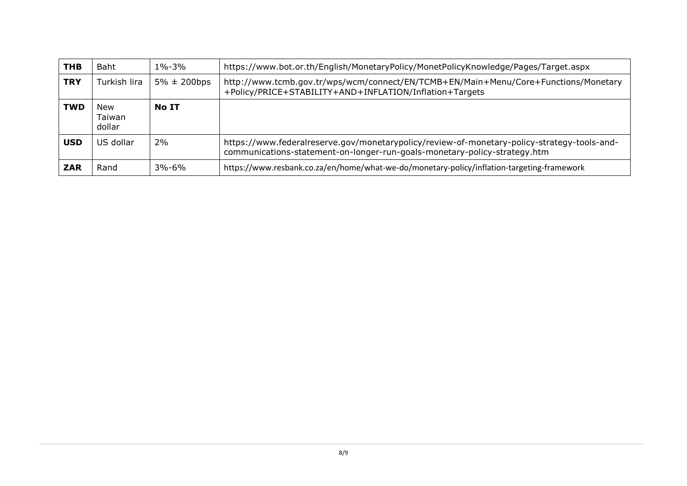| <b>THB</b> | <b>Baht</b>             | $1\% - 3\%$       | https://www.bot.or.th/English/MonetaryPolicy/MonetPolicyKnowledge/Pages/Target.aspx                                                                                      |
|------------|-------------------------|-------------------|--------------------------------------------------------------------------------------------------------------------------------------------------------------------------|
| <b>TRY</b> | Turkish lira            | $5\% \pm 200$ bps | http://www.tcmb.gov.tr/wps/wcm/connect/EN/TCMB+EN/Main+Menu/Core+Functions/Monetary<br>+Policy/PRICE+STABILITY+AND+INFLATION/Inflation+Targets                           |
| <b>TWD</b> | New<br>Taiwan<br>dollar | No IT             |                                                                                                                                                                          |
| <b>USD</b> | US dollar               | 2%                | https://www.federalreserve.gov/monetarypolicy/review-of-monetary-policy-strategy-tools-and-<br>communications-statement-on-longer-run-goals-monetary-policy-strategy.htm |
| <b>ZAR</b> | Rand                    | $3% - 6%$         | https://www.resbank.co.za/en/home/what-we-do/monetary-policy/inflation-targeting-framework                                                                               |